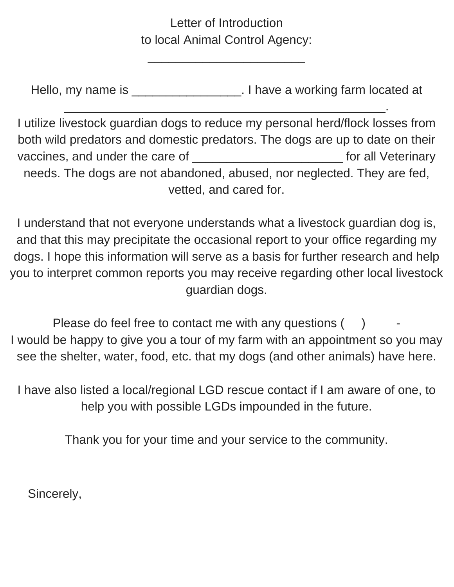#### Letter of Introduction to local Animal Control Agency:

 $\mathcal{L}_\text{max}$  , where  $\mathcal{L}_\text{max}$  is the set of the set of the set of the set of the set of the set of the set of the set of the set of the set of the set of the set of the set of the set of the set of the set of the se

Hello, my name is \_\_\_\_\_\_\_\_\_\_\_\_\_\_\_\_\_\_\_\_. I have a working farm located at

 $\mathcal{L}_\text{max}$  and  $\mathcal{L}_\text{max}$  and  $\mathcal{L}_\text{max}$  and  $\mathcal{L}_\text{max}$  and  $\mathcal{L}_\text{max}$  and  $\mathcal{L}_\text{max}$ 

I utilize livestock guardian dogs to reduce my personal herd/flock losses from both wild predators and domestic predators. The dogs are up to date on their vaccines, and under the care of \_\_\_\_\_\_\_\_\_\_\_\_\_\_\_\_\_\_\_\_\_\_\_\_\_\_\_\_\_ for all Veterinary needs. The dogs are not abandoned, abused, nor neglected. They are fed, vetted, and cared for.

I understand that not everyone understands what a livestock guardian dog is, and that this may precipitate the occasional report to your office regarding my dogs. I hope this information will serve as a basis for further research and help you to interpret common reports you may receive regarding other local livestock guardian dogs.

Please do feel free to contact me with any questions  $($  ) I would be happy to give you a tour of my farm with an appointment so you may see the shelter, water, food, etc. that my dogs (and other animals) have here.

I have also listed a local/regional LGD rescue contact if I am aware of one, to help you with possible LGDs impounded in the future.

Thank you for your time and your service to the community.

Sincerely,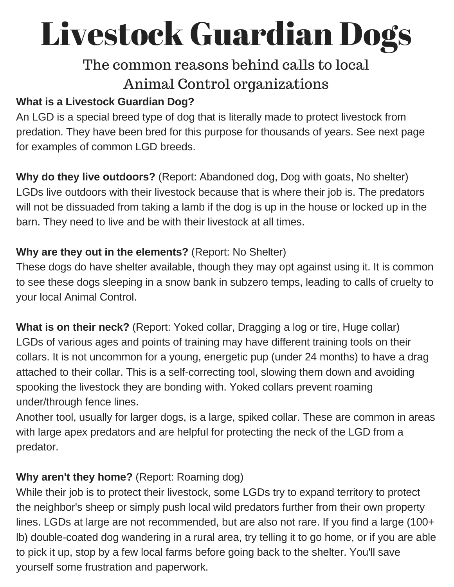# Livestock Guardian Dogs

# The common reasons behind calls to local Animal Control organizations

#### **What is a Livestock Guardian Dog?**

An LGD is a special breed type of dog that is literally made to protect livestock from predation. They have been bred for this purpose for thousands of years. See next page for examples of common LGD breeds.

**Why do they live outdoors?** (Report: Abandoned dog, Dog with goats, No shelter) LGDs live outdoors with their livestock because that is where their job is. The predators will not be dissuaded from taking a lamb if the dog is up in the house or locked up in the barn. They need to live and be with their livestock at all times.

#### **Why are they out in the elements?** (Report: No Shelter)

These dogs do have shelter available, though they may opt against using it. It is common to see these dogs sleeping in a snow bank in subzero temps, leading to calls of cruelty to your local Animal Control.

**What is on their neck?** (Report: Yoked collar, Dragging a log or tire, Huge collar) LGDs of various ages and points of training may have different training tools on their collars. It is not uncommon for a young, energetic pup (under 24 months) to have a drag attached to their collar. This is a self-correcting tool, slowing them down and avoiding spooking the livestock they are bonding with. Yoked collars prevent roaming under/through fence lines.

Another tool, usually for larger dogs, is a large, spiked collar. These are common in areas with large apex predators and are helpful for protecting the neck of the LGD from a predator.

#### **Why aren't they home?** (Report: Roaming dog)

While their job is to protect their livestock, some LGDs try to expand territory to protect the neighbor's sheep or simply push local wild predators further from their own property lines. LGDs at large are not recommended, but are also not rare. If you find a large (100+ lb) double-coated dog wandering in a rural area, try telling it to go home, or if you are able to pick it up, stop by a few local farms before going back to the shelter. You'll save yourself some frustration and paperwork.